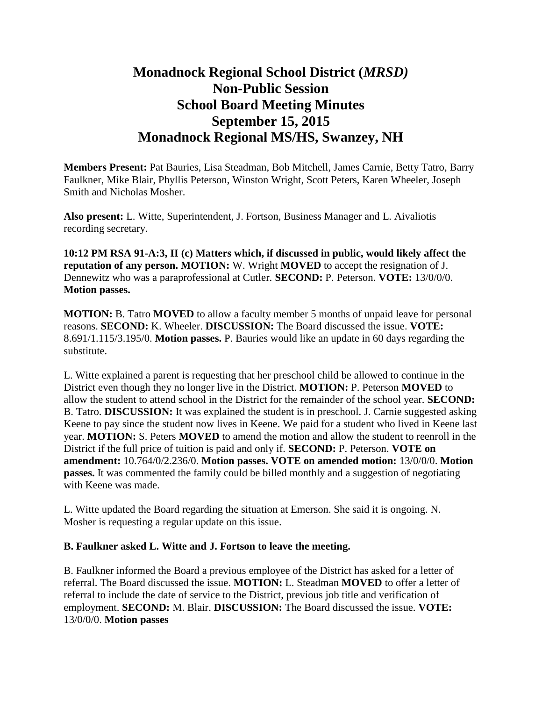## **Monadnock Regional School District (***MRSD)* **Non-Public Session School Board Meeting Minutes September 15, 2015 Monadnock Regional MS/HS, Swanzey, NH**

**Members Present:** Pat Bauries, Lisa Steadman, Bob Mitchell, James Carnie, Betty Tatro, Barry Faulkner, Mike Blair, Phyllis Peterson, Winston Wright, Scott Peters, Karen Wheeler, Joseph Smith and Nicholas Mosher.

**Also present:** L. Witte, Superintendent, J. Fortson, Business Manager and L. Aivaliotis recording secretary.

**10:12 PM RSA 91-A:3, II (c) Matters which, if discussed in public, would likely affect the reputation of any person. MOTION:** W. Wright **MOVED** to accept the resignation of J. Dennewitz who was a paraprofessional at Cutler. **SECOND:** P. Peterson. **VOTE:** 13/0/0/0. **Motion passes.** 

**MOTION:** B. Tatro **MOVED** to allow a faculty member 5 months of unpaid leave for personal reasons. **SECOND:** K. Wheeler. **DISCUSSION:** The Board discussed the issue. **VOTE:**  8.691/1.115/3.195/0. **Motion passes.** P. Bauries would like an update in 60 days regarding the substitute.

L. Witte explained a parent is requesting that her preschool child be allowed to continue in the District even though they no longer live in the District. **MOTION:** P. Peterson **MOVED** to allow the student to attend school in the District for the remainder of the school year. **SECOND:**  B. Tatro. **DISCUSSION:** It was explained the student is in preschool. J. Carnie suggested asking Keene to pay since the student now lives in Keene. We paid for a student who lived in Keene last year. **MOTION:** S. Peters **MOVED** to amend the motion and allow the student to reenroll in the District if the full price of tuition is paid and only if. **SECOND:** P. Peterson. **VOTE on amendment:** 10.764/0/2.236/0. **Motion passes. VOTE on amended motion:** 13/0/0/0. **Motion passes.** It was commented the family could be billed monthly and a suggestion of negotiating with Keene was made.

L. Witte updated the Board regarding the situation at Emerson. She said it is ongoing. N. Mosher is requesting a regular update on this issue.

## **B. Faulkner asked L. Witte and J. Fortson to leave the meeting.**

B. Faulkner informed the Board a previous employee of the District has asked for a letter of referral. The Board discussed the issue. **MOTION:** L. Steadman **MOVED** to offer a letter of referral to include the date of service to the District, previous job title and verification of employment. **SECOND:** M. Blair. **DISCUSSION:** The Board discussed the issue. **VOTE:**  13/0/0/0. **Motion passes**